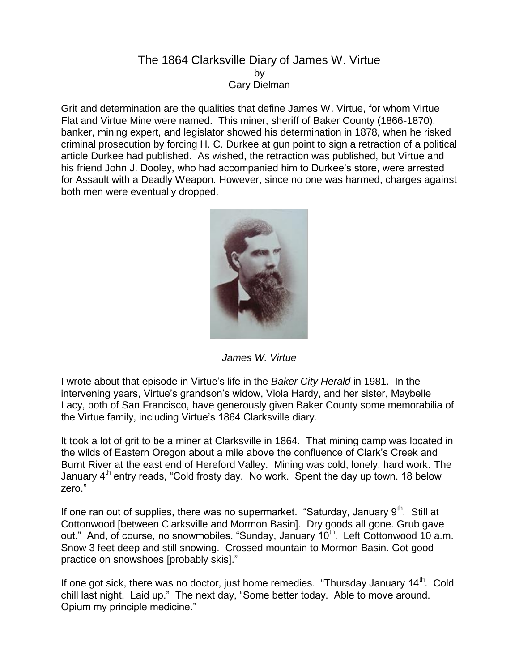## The 1864 Clarksville Diary of James W. Virtue by Gary Dielman

Grit and determination are the qualities that define James W. Virtue, for whom Virtue Flat and Virtue Mine were named. This miner, sheriff of Baker County (1866-1870), banker, mining expert, and legislator showed his determination in 1878, when he risked criminal prosecution by forcing H. C. Durkee at gun point to sign a retraction of a political article Durkee had published. As wished, the retraction was published, but Virtue and his friend John J. Dooley, who had accompanied him to Durkee's store, were arrested for Assault with a Deadly Weapon. However, since no one was harmed, charges against both men were eventually dropped.



*James W. Virtue*

I wrote about that episode in Virtue's life in the *Baker City Herald* in 1981. In the intervening years, Virtue's grandson's widow, Viola Hardy, and her sister, Maybelle Lacy, both of San Francisco, have generously given Baker County some memorabilia of the Virtue family, including Virtue's 1864 Clarksville diary.

It took a lot of grit to be a miner at Clarksville in 1864. That mining camp was located in the wilds of Eastern Oregon about a mile above the confluence of Clark's Creek and Burnt River at the east end of Hereford Valley. Mining was cold, lonely, hard work. The January  $4<sup>th</sup>$  entry reads, "Cold frosty day. No work. Spent the day up town. 18 below zero."

If one ran out of supplies, there was no supermarket. "Saturday, January  $9<sup>th</sup>$ . Still at Cottonwood [between Clarksville and Mormon Basin]. Dry goods all gone. Grub gave out." And, of course, no snowmobiles. "Sunday, January 10<sup>th</sup>. Left Cottonwood 10 a.m. Snow 3 feet deep and still snowing. Crossed mountain to Mormon Basin. Got good practice on snowshoes [probably skis]."

If one got sick, there was no doctor, just home remedies. "Thursday January  $14<sup>th</sup>$ . Cold chill last night. Laid up." The next day, "Some better today. Able to move around. Opium my principle medicine."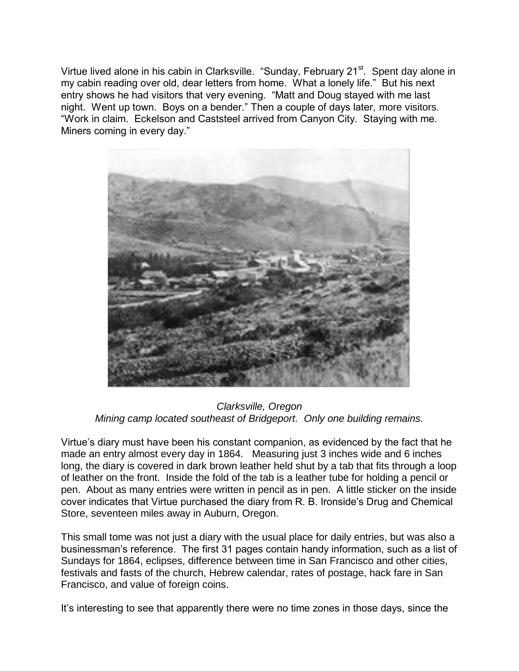Virtue lived alone in his cabin in Clarksville. "Sunday, February 21<sup>st</sup>. Spent day alone in my cabin reading over old, dear letters from home. What a lonely life." But his next entry shows he had visitors that very evening. "Matt and Doug stayed with me last night. Went up town. Boys on a bender." Then a couple of days later, more visitors. "Work in claim. Eckelson and Caststeel arrived from Canyon City. Staying with me. Miners coming in every day."



*Clarksville, Oregon Mining camp located southeast of Bridgeport. Only one building remains.*

Virtue's diary must have been his constant companion, as evidenced by the fact that he made an entry almost every day in 1864. Measuring just 3 inches wide and 6 inches long, the diary is covered in dark brown leather held shut by a tab that fits through a loop of leather on the front. Inside the fold of the tab is a leather tube for holding a pencil or pen. About as many entries were written in pencil as in pen. A little sticker on the inside cover indicates that Virtue purchased the diary from R. B. Ironside's Drug and Chemical Store, seventeen miles away in Auburn, Oregon.

This small tome was not just a diary with the usual place for daily entries, but was also a businessman's reference. The first 31 pages contain handy information, such as a list of Sundays for 1864, eclipses, difference between time in San Francisco and other cities, festivals and fasts of the church, Hebrew calendar, rates of postage, hack fare in San Francisco, and value of foreign coins.

It's interesting to see that apparently there were no time zones in those days, since the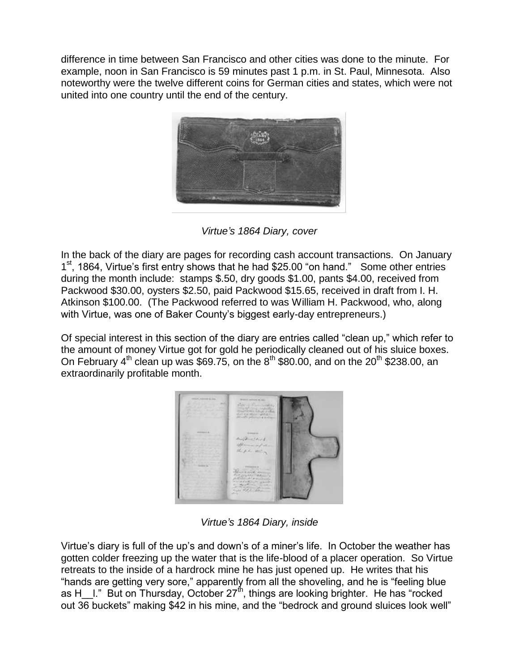difference in time between San Francisco and other cities was done to the minute. For example, noon in San Francisco is 59 minutes past 1 p.m. in St. Paul, Minnesota. Also noteworthy were the twelve different coins for German cities and states, which were not united into one country until the end of the century.



*Virtue's 1864 Diary, cover*

In the back of the diary are pages for recording cash account transactions. On January 1<sup>st</sup>, 1864, Virtue's first entry shows that he had \$25.00 "on hand." Some other entries during the month include: stamps \$.50, dry goods \$1.00, pants \$4.00, received from Packwood \$30.00, oysters \$2.50, paid Packwood \$15.65, received in draft from I. H. Atkinson \$100.00. (The Packwood referred to was William H. Packwood, who, along with Virtue, was one of Baker County's biggest early-day entrepreneurs.)

Of special interest in this section of the diary are entries called "clean up," which refer to the amount of money Virtue got for gold he periodically cleaned out of his sluice boxes. On February  $4^{th}$  clean up was \$69.75, on the  $8^{th}$  \$80.00, and on the  $20^{th}$  \$238.00, an extraordinarily profitable month.



*Virtue's 1864 Diary, inside*

Virtue's diary is full of the up's and down's of a miner's life. In October the weather has gotten colder freezing up the water that is the life-blood of a placer operation. So Virtue retreats to the inside of a hardrock mine he has just opened up. He writes that his "hands are getting very sore," apparently from all the shoveling, and he is "feeling blue as H\_I." But on Thursday, October  $27<sup>th</sup>$ , things are looking brighter. He has "rocked out 36 buckets" making \$42 in his mine, and the "bedrock and ground sluices look well"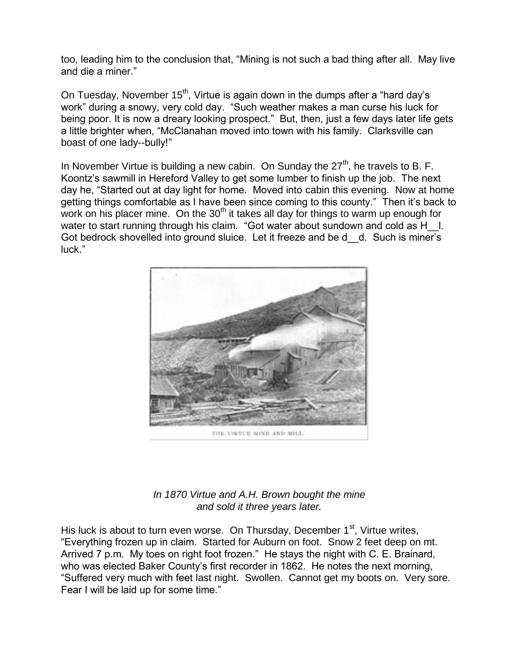too, leading him to the conclusion that, "Mining is not such a bad thing after all. May live and die a miner."

On Tuesday, November  $15<sup>th</sup>$ , Virtue is again down in the dumps after a "hard day's work" during a snowy, very cold day. "Such weather makes a man curse his luck for being poor. It is now a dreary looking prospect." But, then, just a few days later life gets a little brighter when, "McClanahan moved into town with his family. Clarksville can boast of one lady--bully!"

In November Virtue is building a new cabin. On Sunday the  $27<sup>th</sup>$ , he travels to B. F. Koontz's sawmill in Hereford Valley to get some lumber to finish up the job. The next day he, "Started out at day light for home. Moved into cabin this evening. Now at home getting things comfortable as I have been since coming to this county." Then it's back to work on his placer mine. On the  $30<sup>th</sup>$  it takes all day for things to warm up enough for water to start running through his claim. "Got water about sundown and cold as H  $\;$  I. Got bedrock shovelled into ground sluice. Let it freeze and be d d. Such is miner's luck."



THE VIRTUE MINE AND MILL.

## *In 1870 Virtue and A.H. Brown bought the mine and sold it three years later.*

His luck is about to turn even worse. On Thursday, December  $1<sup>st</sup>$ , Virtue writes, "Everything frozen up in claim. Started for Auburn on foot. Snow 2 feet deep on mt. Arrived 7 p.m. My toes on right foot frozen." He stays the night with C. E. Brainard, who was elected Baker County's first recorder in 1862. He notes the next morning, "Suffered very much with feet last night. Swollen. Cannot get my boots on. Very sore. Fear I will be laid up for some time."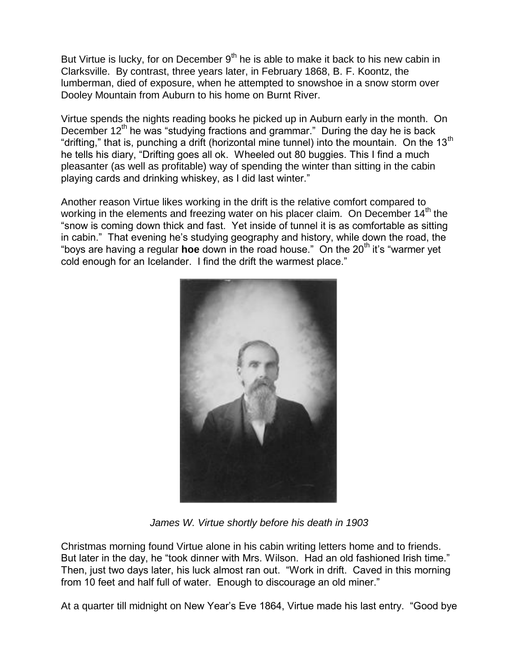But Virtue is lucky, for on December  $9<sup>th</sup>$  he is able to make it back to his new cabin in Clarksville. By contrast, three years later, in February 1868, B. F. Koontz, the lumberman, died of exposure, when he attempted to snowshoe in a snow storm over Dooley Mountain from Auburn to his home on Burnt River.

Virtue spends the nights reading books he picked up in Auburn early in the month. On December  $12<sup>th</sup>$  he was "studying fractions and grammar." During the day he is back "drifting," that is, punching a drift (horizontal mine tunnel) into the mountain. On the 13<sup>th</sup> he tells his diary, "Drifting goes all ok. Wheeled out 80 buggies. This I find a much pleasanter (as well as profitable) way of spending the winter than sitting in the cabin playing cards and drinking whiskey, as I did last winter."

Another reason Virtue likes working in the drift is the relative comfort compared to working in the elements and freezing water on his placer claim. On December  $14<sup>th</sup>$  the "snow is coming down thick and fast. Yet inside of tunnel it is as comfortable as sitting in cabin." That evening he's studying geography and history, while down the road, the "boys are having a regular **hoe** down in the road house." On the 20<sup>th</sup> it's "warmer yet cold enough for an Icelander. I find the drift the warmest place."



*James W. Virtue shortly before his death in 1903*

Christmas morning found Virtue alone in his cabin writing letters home and to friends. But later in the day, he "took dinner with Mrs. Wilson. Had an old fashioned Irish time." Then, just two days later, his luck almost ran out. "Work in drift. Caved in this morning from 10 feet and half full of water. Enough to discourage an old miner."

At a quarter till midnight on New Year's Eve 1864, Virtue made his last entry. "Good bye